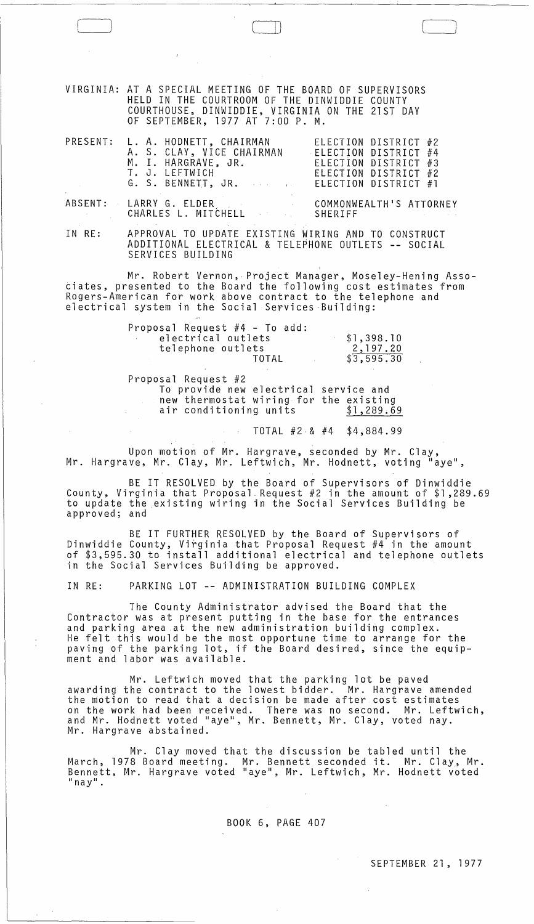VIRGINIA: AT A SPECIAL MEETING OF THE BOARD OF SUPERVISORS HELD IN THE COURTROOM OF THE DINWIDDIE COUNTY COURTHOUSE, DINWIDDIE, VIRGINIA ON THE 21ST DAY OF SEPTEMBER, 1977 AT 7:00 P. M.

 $\Box$ 

 $\sqrt{2}$ 

| PRESENT: L. A. HODNETT, CHAIRMAN<br>A. S. CLAY, VICE CHAIRMAN<br>M. I. HARGRAVE, JR. ELECTION DISTRICT #3<br>T. J. LEFTWICH<br>G. S. BENNETT, JR. ELECTION DISTRICT #1 | ELECTION DISTRICT #2<br>ELECTION DISTRICT #4<br>ELECTION DISTRICT #2 |
|------------------------------------------------------------------------------------------------------------------------------------------------------------------------|----------------------------------------------------------------------|
| ABSENT: LARRY G. ELDER COMMONWEALTH'S ATTORNEY<br>CHARLES L. MITCHELL ARE SHERIFF                                                                                      |                                                                      |

IN RE: APPROVAL TO UPDATE EXISTING WIRING AND TO CONSTRUCT ADDITIONAL ELECTRICAL & TELEPHONE OUTLETS **--** SOCIAL SERVICES BUILDING

Mr. Robert Vernon,· Project Manager, Moseley-Hening Associates, presented to the Board the following cost estimates from Rogers-American for work above contract to the telephone and e 1 e c t ric a 1 s y stem in the Social Services Building:

| Proposal Request $#4$ - To add: |            |
|---------------------------------|------------|
| electrical outlets              | \$1,398.10 |
| telephone outlets               | 2,197.20   |
| TOTAL                           | \$3,595.30 |

Proposal Request #2 To provide new electrical service and new thermostat wiring for the existing air conditioning units \$1,289.69

 $TOTAL$  #2 & #4  $$4,884.99$ 

Upon motion of Mr. Hargrave, seconded by Mr. Clay, Mr. Hargrave, Mr. Clay, Mr. Leftwich, Mr. Hodnett, voting "aye",

BE IT RESOLVED by the Board of Supervisors of Dinwiddie County, Virginia that Proposal Request #2 in the amount of \$1,289.69 to update the existing wiring in the Social Services Building be approved; and

BE IT FURTHER RESOLVED by the Board of Supervisors of Dinwiddie County, Virginia that Proposal Request #4 in the amount of \$3,595.30 to install additional electrical and telephone outlets in the Social Services Building be approved.

IN RE: PARKING LOT **--** ADMINISTRATION BUILDING COMPLEX

The County Administrator advised the Board that the Contractor was at present putting in the base for the entrances and parking area at the new administration building complex. He felt this would be the most opportune time to arrange for the paving of the parking lot, if the Board desired, since the equipment and labor was available.

Mr. Leftwich moved that the parking lot be paved awarding the contract to the lowest bidder. Mr. Hargrave amended the motion to read that a decision be made after cost estimates on the work had been received. There was no second. Mr. Leftwich, and Mr. Hodnett voted "aye", Mr. Bennett, Mr. Clay, voted nay. Mr. Hargrave abstained.

Mr. Clay moved that the discussion be tabled until the March, 1978 Board meeting. Mr. Bennett seconded it. Mr. Clay, Mr. Bennett, Mr. Hargrave voted "aye", Mr. Leftwich, Mr. Hodnett voted<br>"nay".

BOOK 6, PAGE 407

SEPTEMBER 21, 1977

 $\int$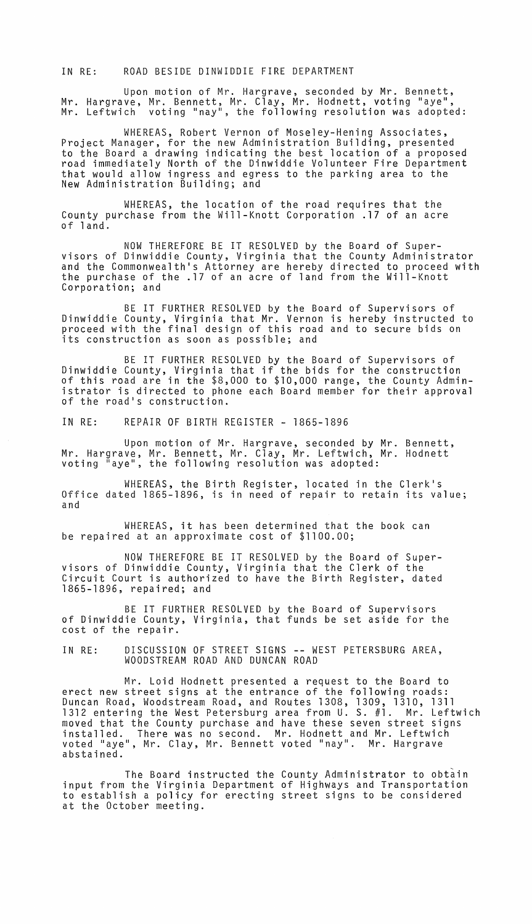IN RE: ROAD BESIDE DINWIDDIE FIRE DEPARTMENT

Upon motion of Mr. Hargrave, seconded by Mr. Bennett, Mr. Hargrave, Mr. Bennett, Mr. Clay, Mr. Hodnett, voting "aye", Mr. Leftwich voting "nay", the following resolution was adopted:

WHEREAS, Robert Vernon of Moseley-Hening Associates, Project Manager, for the new Administration Building, presented to the Board a drawing indicating the best location of a proposed road immediately North of the Dinwiddie Volunteer Fire Department that would allow ingress and egress to the parking area to the New Administration Building; and

WHEREAS, the location of the road requires that the County purchase from the Will-Knott Corporation .17 of an acre of land.

NOW THEREFORE BE IT RESOLVED by the Board of Super- visors of Dinwiddie County, Virginia that the County Administrator and the Commonwealth's Attorney are hereby directed to proceed with the purchase of the. 17 of an acre of land from the Will-Knott Corporation; and

BE IT FURTHER RESOLVED by the Board of Supervisors of Dinwiddie County, Virginia that Mr. Vernon is hereby instructed to proceed with the final design of this road and to secure bids on its construction as soon as possible; and

BE IT FURTHER RESOLVED by the Board of Supervisors of Dinwiddie County, Virginia that if the bids for the construction of this road are in the \$8,000 to \$10,000 range, the County Administrator is directed to phone each Board member for their approval of the road's construction.

IN RE: REPAIR OF BIRTH REGISTER - 1865-1896

Upon motion of Mr. Hargrave, seconded by Mr. Bennett, Mr. Hargrave, Mr. Bennett, Mr. Clay, Mr. Leftwich, Mr. Hodnett voting "aye", the following resolution was adopted:

WHEREAS, the Birth Register, located in the Clerk's Office dated 1865-1896, is in need of repair to retain its value; and

WHEREAS, it has been determined that the book can be repaired at an approximate cost of \$1100.00;

NOW THEREFORE BE IT RESOLVED by the Board of Supervisors of Dinwiddie County, Virginia that the Clerk of the Circuit Court is authorized to have the Birth Register, dated 1865-1896, repaired; and

BE IT FURTHER RESOLVED by the Board of Supervisors of Dinwiddie County, Virginia, that funds be set aside for the cost of the repair.

IN RE: DISCUSSION OF STREET SIGNS -- WEST PETERSBURG AREA, WOODSTREAM ROAD AND DUNCAN ROAD

Mr. Loid Hodnett presented a request to the Board to erect new street signs at the entrance of the following roads: Duncan Road, Woodstream Road, and Routes 1308, 1309, 1310, 1311 1312 entering the West Petersburg area from U. S. #1. Mr. Leftwich moved that the County purchase and have these seven street signs installed. There was no second. Mr. Hodnett and Mr. Leftwich voted "aye", Mr. Clay, Mr. Bennett voted "nay". Mr. Hargrave abstained.

The Board instructed the County Administrator to obtain input from the Virginia Department of Highways and Transportation to establish a policy for erecting street signs to be considered at the October meeting.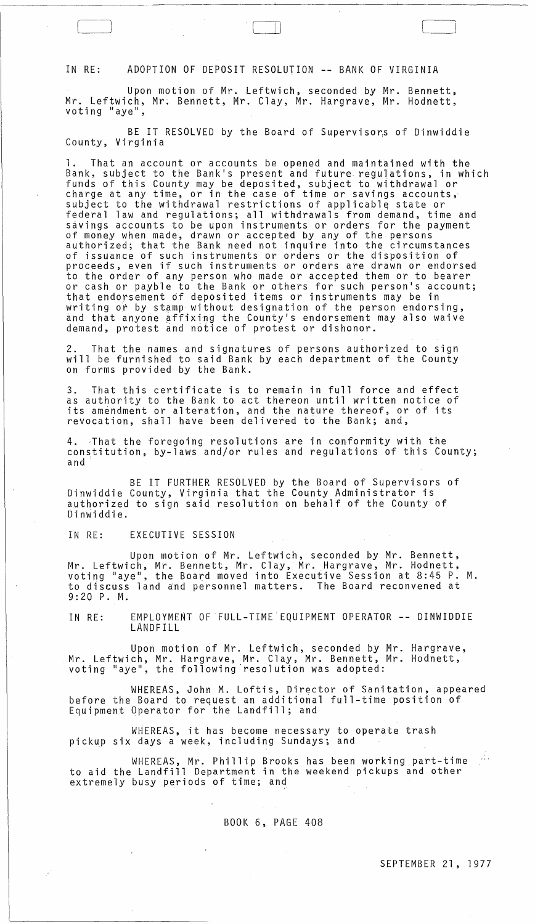## IN RE: ADOPTION OF DEPOSIT RESOLUTION -- BANK OF VIRGINIA

Upon motion of Mr. Leftwich, seconded by Mr. Bennett, Mr. Leftwich, Mr. Bennett, Mr. Clay, Mr. Hargrave, Mr. Hodnett, voting "aye"

BE IT RESOLVED by the Board of Supervisors of Dinwiddie County, Virginia

1. That an account or accounts be opened and maintained with the Bank, subject to the Bank's present and future, regulations, in which funds of this County may be deposited, subject to withdrawal or charge at any time, or in the case of time or savings accounts, subject to the withdrawal restrictions of applicable state or federal law and regulations; all withdrawals from demand, time and<br>savings accounts to be upon instruments or orders for the payment of money when made, drawn or accepted by any of the persons authorized; that the Bank need not inquire into the circumstances of issuance of such instruments or orders or the disposition of proceeds, *even* if such instruments or orders are drawn or endorsed to the order of any person who made or accepted them or to bearer or cash or payble to the Bank or others for such person's account; that endorsement of deposited items or instruments may be in writing or by stamp without designation of the person endorsing, and that anyone affixing the County's endorsement may also waive demand, protest and notice of protest or dishonor.

2. That the names and signatures of persons authorized to sign will be furnished to said Bank by each department of the County on forms provided by the Bank.

3. That this certificate is to remain in full force and effect as authority to the Bank to act thereon until written notice of its amendment or alteration, and the nature thereof, or of its revocation, shall have been delivered to the Bank; and,

4. That the foregoing resolutions are in conformity with the constitution, by-laws and/or rules and regulations of this County;

BE IT FURTHER RESOLVED by the Board of Supervisors of Dinwiddie County, Virginia that the County Administrator is authorized to sign said resolution on behalf of the County of Dinwiddie.

## IN RE: EXECUTIVE SESSION

Upon motion of Mr. Leftwich, seconded by Mr. Bennett, Mr. Leftwich, Mr. Bennett, Mr. Clay, Mr. Hargrave, Mr. Hodnett, voting lIaye ll , the Board *moved* into Executive Session at 8:45 P. M. to discuss land and personnel matters. The Board *reconvened* at 9:20 P. M.

IN RE: EMPLOYMENT OF FULL-TIME'EQUIPMENT OPERATOR -- DINWIDDIE LANDFILL

Upon motion of Mr. Leftwich, seconded by Mr. Hargrave, Mr. Leftwich, Mr. Hargrave, Mr. Clay, Mr. Bennett, Mr. Hodnett, voting lIaye ll , the following'resolution was adopted:

WHEREAS, John M. Loftis, Director of Sanitation, appeared before the Board to request an additional full-time position of Equipment Operator for the Landfill; and

WHEREAS, it has become necessary to operate trash pickup six days a week, including Sundays; and

 $\sim 40$ 

WHEREAS, Mr. Phillip Brooks has been working part-time to aid the Landfill Department in the weekend pickups and other extremely busy periods of time; and

## BOOK 6, PAGE 408

in Lin